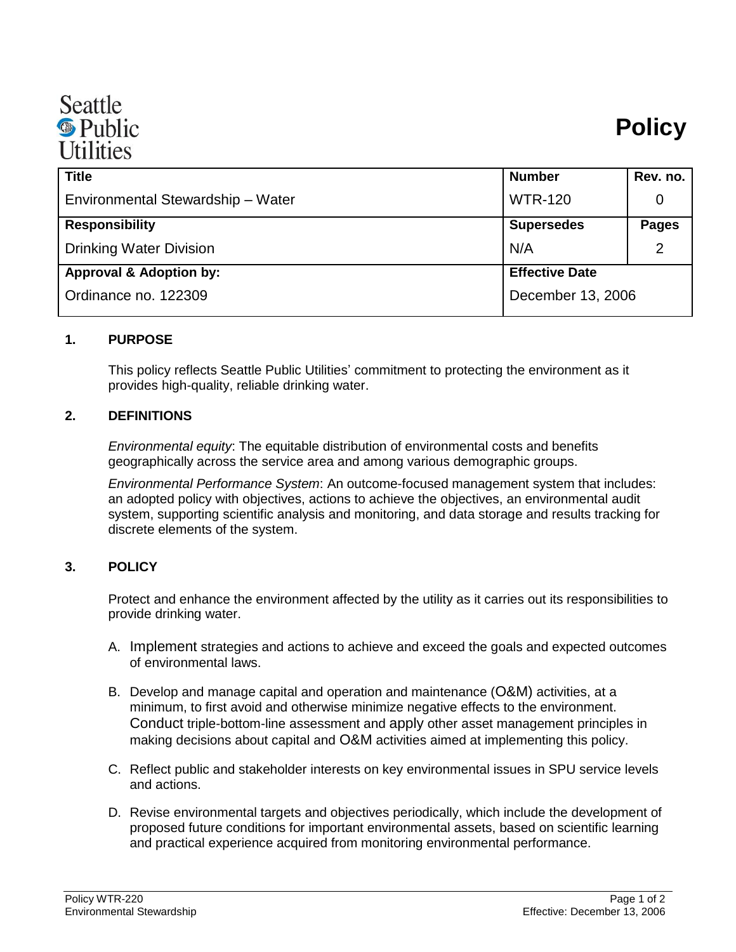

| <b>Title</b>                       | <b>Number</b>         | Rev. no.     |
|------------------------------------|-----------------------|--------------|
| Environmental Stewardship - Water  | <b>WTR-120</b>        | 0            |
| <b>Responsibility</b>              | <b>Supersedes</b>     | <b>Pages</b> |
| <b>Drinking Water Division</b>     | N/A                   | 2            |
| <b>Approval &amp; Adoption by:</b> | <b>Effective Date</b> |              |
| Ordinance no. 122309               | December 13, 2006     |              |

## **1. PURPOSE**

This policy reflects Seattle Public Utilities' commitment to protecting the environment as it provides high-quality, reliable drinking water.

## **2. DEFINITIONS**

*Environmental equity*: The equitable distribution of environmental costs and benefits geographically across the service area and among various demographic groups.

*Environmental Performance System*: An outcome-focused management system that includes: an adopted policy with objectives, actions to achieve the objectives, an environmental audit system, supporting scientific analysis and monitoring, and data storage and results tracking for discrete elements of the system.

## **3. POLICY**

Protect and enhance the environment affected by the utility as it carries out its responsibilities to provide drinking water.

- A. Implement strategies and actions to achieve and exceed the goals and expected outcomes of environmental laws.
- B. Develop and manage capital and operation and maintenance (O&M) activities, at a minimum, to first avoid and otherwise minimize negative effects to the environment. Conduct triple-bottom-line assessment and apply other asset management principles in making decisions about capital and O&M activities aimed at implementing this policy.
- C. Reflect public and stakeholder interests on key environmental issues in SPU service levels and actions.
- D. Revise environmental targets and objectives periodically, which include the development of proposed future conditions for important environmental assets, based on scientific learning and practical experience acquired from monitoring environmental performance.